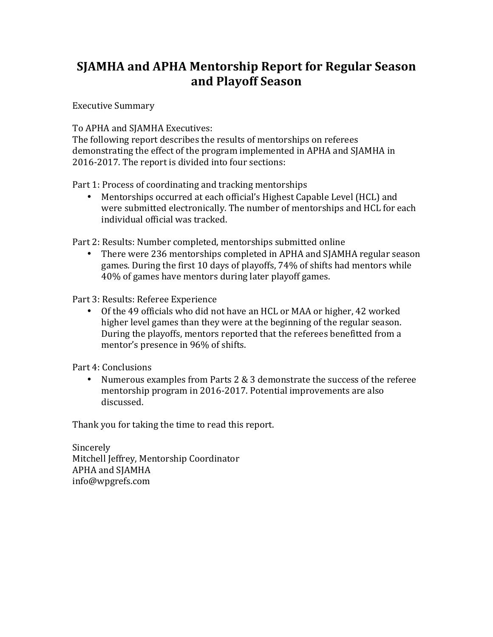## **SJAMHA and APHA Mentorship Report for Regular Season and Playoff Season**

Executive Summary

To APHA and SJAMHA Executives:

The following report describes the results of mentorships on referees demonstrating the effect of the program implemented in APHA and SJAMHA in 2016-2017. The report is divided into four sections:

Part 1: Process of coordinating and tracking mentorships

• Mentorships occurred at each official's Highest Capable Level (HCL) and were submitted electronically. The number of mentorships and HCL for each individual official was tracked.

Part 2: Results: Number completed, mentorships submitted online

There were 236 mentorships completed in APHA and SJAMHA regular season games. During the first 10 days of playoffs, 74% of shifts had mentors while 40% of games have mentors during later playoff games.

Part 3: Results: Referee Experience

• Of the 49 officials who did not have an HCL or MAA or higher, 42 worked higher level games than they were at the beginning of the regular season. During the playoffs, mentors reported that the referees benefitted from a mentor's presence in 96% of shifts.

Part 4: Conclusions

• Numerous examples from Parts  $2 \& 3$  demonstrate the success of the referee mentorship program in 2016-2017. Potential improvements are also discussed.

Thank you for taking the time to read this report.

Sincerely Mitchell Jeffrey, Mentorship Coordinator APHA and SJAMHA info@wpgrefs.com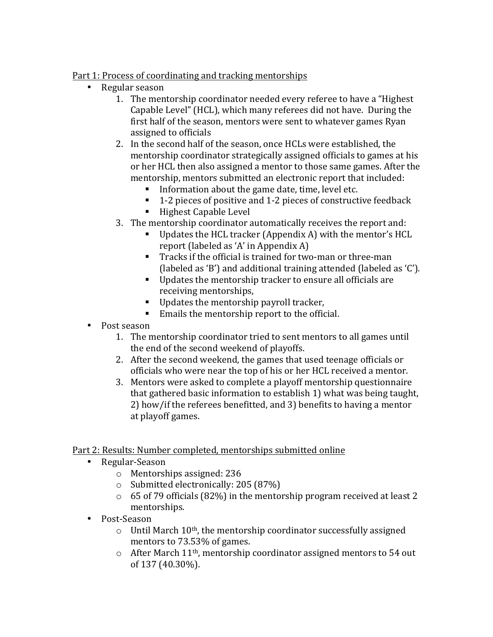## Part 1: Process of coordinating and tracking mentorships

- Regular season
	- 1. The mentorship coordinator needed every referee to have a "Highest" Capable Level" (HCL), which many referees did not have. During the first half of the season, mentors were sent to whatever games Ryan assigned to officials
	- 2. In the second half of the season, once HCLs were established, the mentorship coordinator strategically assigned officials to games at his or her HCL then also assigned a mentor to those same games. After the mentorship, mentors submitted an electronic report that included:
		- Information about the game date, time, level etc.
		- 1-2 pieces of positive and 1-2 pieces of constructive feedback
		- Highest Capable Level
	- 3. The mentorship coordinator automatically receives the report and:
		- **•** Updates the HCL tracker (Appendix A) with the mentor's HCL report (labeled as 'A' in Appendix A)
		- Tracks if the official is trained for two-man or three-man (labeled as 'B') and additional training attended (labeled as 'C').
		- Updates the mentorship tracker to ensure all officials are receiving mentorships,
		- $\blacksquare$  Updates the mentorship payroll tracker,
		- $\blacksquare$  Emails the mentorship report to the official.
- Post season
	- 1. The mentorship coordinator tried to sent mentors to all games until the end of the second weekend of playoffs.
	- 2. After the second weekend, the games that used teenage officials or officials who were near the top of his or her HCL received a mentor.
	- 3. Mentors were asked to complete a playoff mentorship questionnaire that gathered basic information to establish 1) what was being taught, 2) how/if the referees benefitted, and 3) benefits to having a mentor at playoff games.

## Part 2: Results: Number completed, mentorships submitted online

- Regular-Season
	- $\circ$  Mentorships assigned: 236
	- $\circ$  Submitted electronically: 205 (87%)
	- $\circ$  65 of 79 officials (82%) in the mentorship program received at least 2 mentorships.
- Post-Season
	- $\circ$  Until March 10<sup>th</sup>, the mentorship coordinator successfully assigned mentors to 73.53% of games.
	- $\circ$  After March 11<sup>th</sup>, mentorship coordinator assigned mentors to 54 out of 137 (40.30%).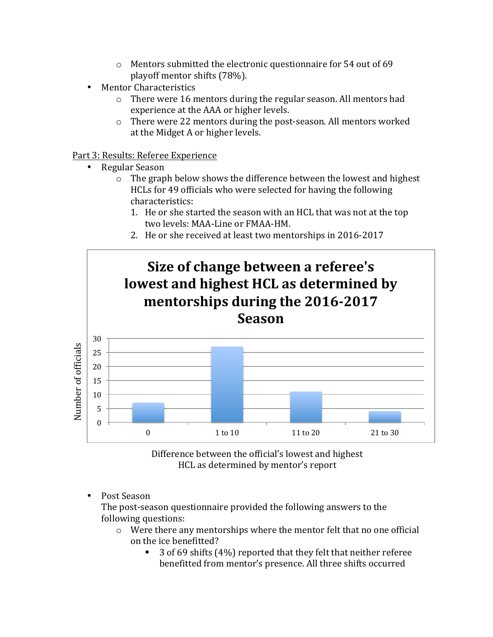- $\circ$  Mentors submitted the electronic questionnaire for 54 out of 69 playoff mentor shifts (78%).
- Mentor Characteristics
	- $\circ$  There were 16 mentors during the regular season. All mentors had experience at the AAA or higher levels.
	- $\circ$  There were 22 mentors during the post-season. All mentors worked at the Midget A or higher levels.

Part 3: Results: Referee Experience

- Regular Season
	- $\circ$  The graph below shows the difference between the lowest and highest HCLs for 49 officials who were selected for having the following characteristics:
		- 1. He or she started the season with an HCL that was not at the top two levels: MAA-Line or FMAA-HM.
		- 2. He or she received at least two mentorships in 2016-2017



Difference between the official's lowest and highest HCL as determined by mentor's report

Post Season

The post-season questionnaire provided the following answers to the following questions:

- $\circ$  Were there any mentorships where the mentor felt that no one official on the ice benefitted?
	- 3 of 69 shifts  $(4%)$  reported that they felt that neither referee benefitted from mentor's presence. All three shifts occurred